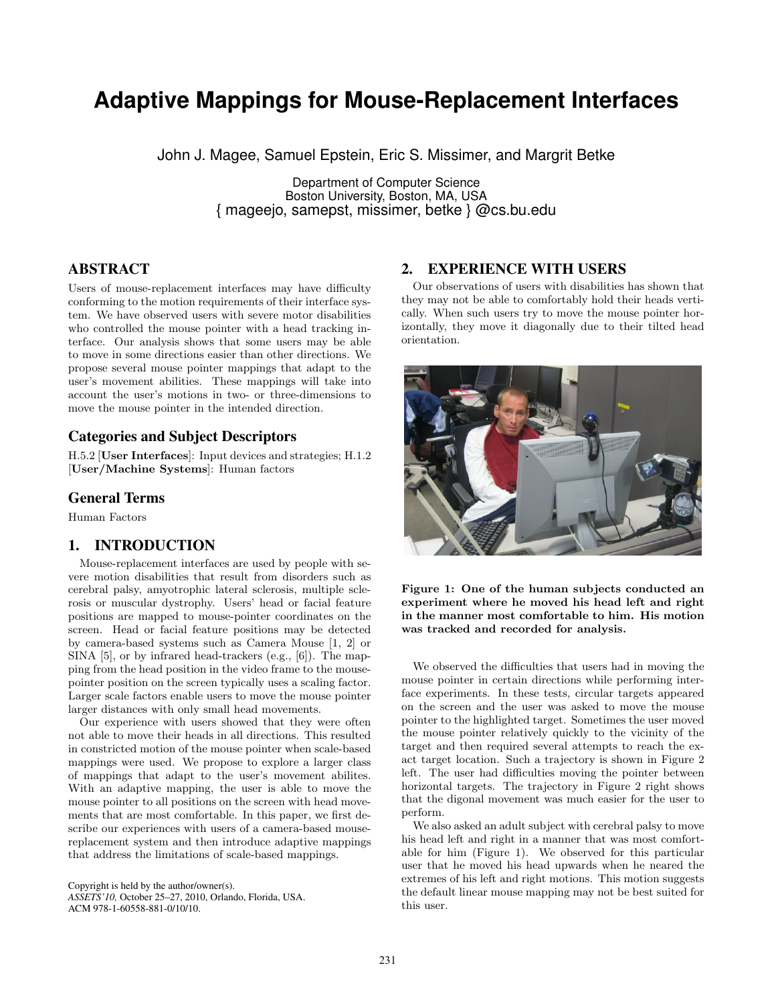# **Adaptive Mappings for Mouse-Replacement Interfaces**

John J. Magee, Samuel Epstein, Eric S. Missimer, and Margrit Betke

Department of Computer Science Boston University, Boston, MA, USA { mageejo, samepst, missimer, betke } @cs.bu.edu

## **ABSTRACT**

Users of mouse-replacement interfaces may have difficulty conforming to the motion requirements of their interface system. We have observed users with severe motor disabilities who controlled the mouse pointer with a head tracking interface. Our analysis shows that some users may be able to move in some directions easier than other directions. We propose several mouse pointer mappings that adapt to the user's movement abilities. These mappings will take into account the user's motions in two- or three-dimensions to move the mouse pointer in the intended direction.

## **Categories and Subject Descriptors**

H.5.2 [User Interfaces]: Input devices and strategies; H.1.2 [User/Machine Systems]: Human factors

## **General Terms**

Human Factors

#### **1. INTRODUCTION**

Mouse-replacement interfaces are used by people with severe motion disabilities that result from disorders such as cerebral palsy, amyotrophic lateral sclerosis, multiple sclerosis or muscular dystrophy. Users' head or facial feature positions are mapped to mouse-pointer coordinates on the screen. Head or facial feature positions may be detected by camera-based systems such as Camera Mouse [1, 2] or SINA [5], or by infrared head-trackers (e.g., [6]). The mapping from the head position in the video frame to the mousepointer position on the screen typically uses a scaling factor. Larger scale factors enable users to move the mouse pointer larger distances with only small head movements.

Our experience with users showed that they were often not able to move their heads in all directions. This resulted in constricted motion of the mouse pointer when scale-based mappings were used. We propose to explore a larger class of mappings that adapt to the user's movement abilites. With an adaptive mapping, the user is able to move the mouse pointer to all positions on the screen with head movements that are most comfortable. In this paper, we first describe our experiences with users of a camera-based mousereplacement system and then introduce adaptive mappings that address the limitations of scale-based mappings.

Copyright is held by the author/owner(s). *ASSETS'10,* October 25–27, 2010, Orlando, Florida, USA. ACM 978-1-60558-881-0/10/10.

## **2. EXPERIENCE WITH USERS**

Our observations of users with disabilities has shown that they may not be able to comfortably hold their heads vertically. When such users try to move the mouse pointer horizontally, they move it diagonally due to their tilted head orientation.



Figure 1: One of the human subjects conducted an experiment where he moved his head left and right in the manner most comfortable to him. His motion was tracked and recorded for analysis.

We observed the difficulties that users had in moving the mouse pointer in certain directions while performing interface experiments. In these tests, circular targets appeared on the screen and the user was asked to move the mouse pointer to the highlighted target. Sometimes the user moved the mouse pointer relatively quickly to the vicinity of the target and then required several attempts to reach the exact target location. Such a trajectory is shown in Figure 2 left. The user had difficulties moving the pointer between horizontal targets. The trajectory in Figure 2 right shows that the digonal movement was much easier for the user to perform.

We also asked an adult subject with cerebral palsy to move his head left and right in a manner that was most comfortable for him (Figure 1). We observed for this particular user that he moved his head upwards when he neared the extremes of his left and right motions. This motion suggests the default linear mouse mapping may not be best suited for this user.